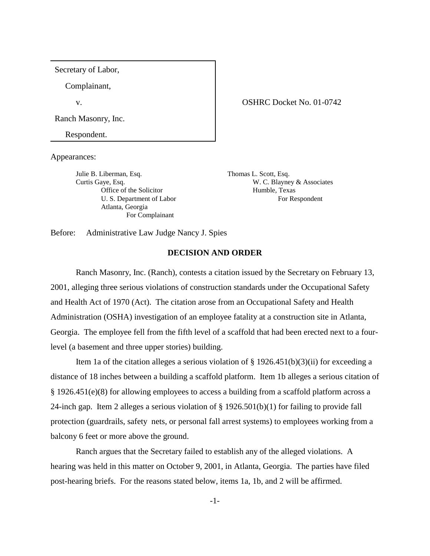Secretary of Labor,

Complainant,

Ranch Masonry, Inc.

Respondent.

Appearances:

Julie B. Liberman, Esq. Thomas L. Scott, Esq. Office of the Solicitor Humble, Texas Atlanta, Georgia For Complainant

v. COSHRC Docket No. 01-0742

Curtis Gaye, Esq. W. C. Blayney & Associates U. S. Department of Labor For Respondent

Before: Administrative Law Judge Nancy J. Spies

## **DECISION AND ORDER**

Ranch Masonry, Inc. (Ranch), contests a citation issued by the Secretary on February 13, 2001, alleging three serious violations of construction standards under the Occupational Safety and Health Act of 1970 (Act). The citation arose from an Occupational Safety and Health Administration (OSHA) investigation of an employee fatality at a construction site in Atlanta, Georgia. The employee fell from the fifth level of a scaffold that had been erected next to a fourlevel (a basement and three upper stories) building.

Item 1a of the citation alleges a serious violation of  $\S$  1926.451(b)(3)(ii) for exceeding a distance of 18 inches between a building a scaffold platform. Item 1b alleges a serious citation of § 1926.451(e)(8) for allowing employees to access a building from a scaffold platform across a 24-inch gap. Item 2 alleges a serious violation of § 1926.501(b)(1) for failing to provide fall protection (guardrails, safety nets, or personal fall arrest systems) to employees working from a balcony 6 feet or more above the ground.

Ranch argues that the Secretary failed to establish any of the alleged violations. A hearing was held in this matter on October 9, 2001, in Atlanta, Georgia. The parties have filed post-hearing briefs. For the reasons stated below, items 1a, 1b, and 2 will be affirmed.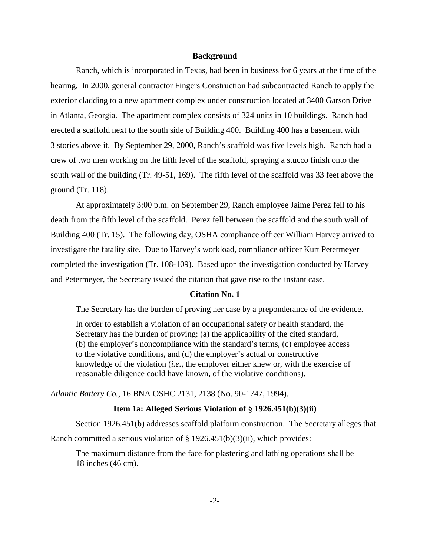### **Background**

Ranch, which is incorporated in Texas, had been in business for 6 years at the time of the hearing. In 2000, general contractor Fingers Construction had subcontracted Ranch to apply the exterior cladding to a new apartment complex under construction located at 3400 Garson Drive in Atlanta, Georgia. The apartment complex consists of 324 units in 10 buildings. Ranch had erected a scaffold next to the south side of Building 400. Building 400 has a basement with 3 stories above it. By September 29, 2000, Ranch's scaffold was five levels high. Ranch had a crew of two men working on the fifth level of the scaffold, spraying a stucco finish onto the south wall of the building (Tr. 49-51, 169). The fifth level of the scaffold was 33 feet above the ground (Tr. 118).

At approximately 3:00 p.m. on September 29, Ranch employee Jaime Perez fell to his death from the fifth level of the scaffold. Perez fell between the scaffold and the south wall of Building 400 (Tr. 15). The following day, OSHA compliance officer William Harvey arrived to investigate the fatality site. Due to Harvey's workload, compliance officer Kurt Petermeyer completed the investigation (Tr. 108-109). Based upon the investigation conducted by Harvey and Petermeyer, the Secretary issued the citation that gave rise to the instant case.

### **Citation No. 1**

The Secretary has the burden of proving her case by a preponderance of the evidence.

In order to establish a violation of an occupational safety or health standard, the Secretary has the burden of proving: (a) the applicability of the cited standard, (b) the employer's noncompliance with the standard's terms, (c) employee access to the violative conditions, and (d) the employer's actual or constructive knowledge of the violation (*i.e.,* the employer either knew or, with the exercise of reasonable diligence could have known, of the violative conditions).

*Atlantic Battery Co.,* 16 BNA OSHC 2131, 2138 (No. 90-1747, 1994).

## **Item 1a: Alleged Serious Violation of § 1926.451(b)(3)(ii)**

Section 1926.451(b) addresses scaffold platform construction. The Secretary alleges that Ranch committed a serious violation of § 1926.451(b)(3)(ii), which provides:

The maximum distance from the face for plastering and lathing operations shall be 18 inches (46 cm).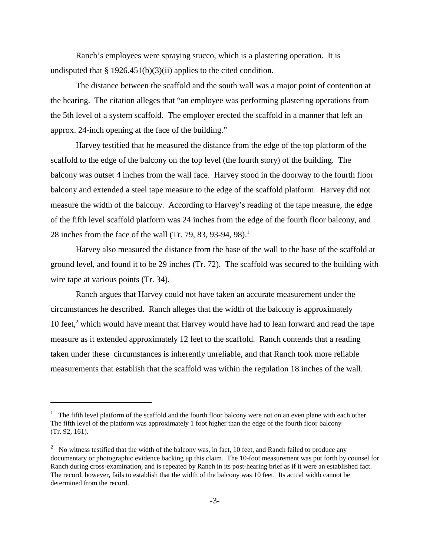Ranch's employees were spraying stucco, which is a plastering operation. It is undisputed that  $\S 1926.451(b)(3)(ii)$  applies to the cited condition.

The distance between the scaffold and the south wall was a major point of contention at the hearing. The citation alleges that "an employee was performing plastering operations from the 5th level of a system scaffold. The employer erected the scaffold in a manner that left an approx. 24-inch opening at the face of the building."

Harvey testified that he measured the distance from the edge of the top platform of the scaffold to the edge of the balcony on the top level (the fourth story) of the building. The balcony was outset 4 inches from the wall face. Harvey stood in the doorway to the fourth floor balcony and extended a steel tape measure to the edge of the scaffold platform. Harvey did not measure the width of the balcony. According to Harvey's reading of the tape measure, the edge of the fifth level scaffold platform was 24 inches from the edge of the fourth floor balcony, and 28 inches from the face of the wall (Tr. 79, 83, 93-94, 98).<sup>1</sup>

Harvey also measured the distance from the base of the wall to the base of the scaffold at ground level, and found it to be 29 inches (Tr. 72). The scaffold was secured to the building with wire tape at various points (Tr. 34).

Ranch argues that Harvey could not have taken an accurate measurement under the circumstances he described. Ranch alleges that the width of the balcony is approximately 10 feet,<sup>2</sup> which would have meant that Harvey would have had to lean forward and read the tape measure as it extended approximately 12 feet to the scaffold. Ranch contends that a reading taken under these circumstances is inherently unreliable, and that Ranch took more reliable measurements that establish that the scaffold was within the regulation 18 inches of the wall.

<sup>&</sup>lt;sup>1</sup> The fifth level platform of the scaffold and the fourth floor balcony were not on an even plane with each other. The fifth level of the platform was approximately 1 foot higher than the edge of the fourth floor balcony (Tr. 92, 161).

 $2$  No witness testified that the width of the balcony was, in fact, 10 feet, and Ranch failed to produce any documentary or photographic evidence backing up this claim. The 10-foot measurement was put forth by counsel for Ranch during cross-examination, and is repeated by Ranch in its post-hearing brief as if it were an established fact. The record, however, fails to establish that the width of the balcony was 10 feet. Its actual width cannot be determined from the record.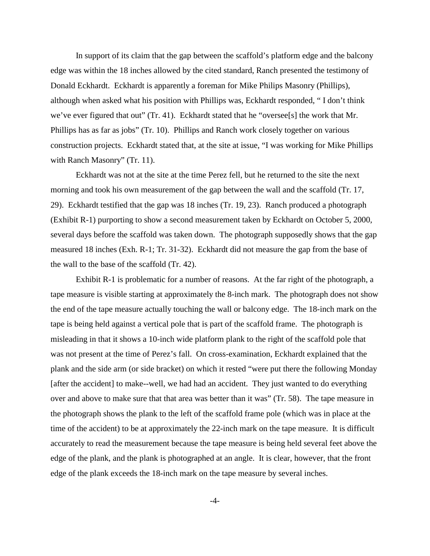In support of its claim that the gap between the scaffold's platform edge and the balcony edge was within the 18 inches allowed by the cited standard, Ranch presented the testimony of Donald Eckhardt. Eckhardt is apparently a foreman for Mike Philips Masonry (Phillips), although when asked what his position with Phillips was, Eckhardt responded, " I don't think we've ever figured that out" (Tr. 41). Eckhardt stated that he "oversee[s] the work that Mr. Phillips has as far as jobs" (Tr. 10). Phillips and Ranch work closely together on various construction projects. Eckhardt stated that, at the site at issue, "I was working for Mike Phillips with Ranch Masonry" (Tr. 11).

Eckhardt was not at the site at the time Perez fell, but he returned to the site the next morning and took his own measurement of the gap between the wall and the scaffold (Tr. 17, 29). Eckhardt testified that the gap was 18 inches (Tr. 19, 23). Ranch produced a photograph (Exhibit R-1) purporting to show a second measurement taken by Eckhardt on October 5, 2000, several days before the scaffold was taken down. The photograph supposedly shows that the gap measured 18 inches (Exh. R-1; Tr. 31-32). Eckhardt did not measure the gap from the base of the wall to the base of the scaffold (Tr. 42).

Exhibit R-1 is problematic for a number of reasons. At the far right of the photograph, a tape measure is visible starting at approximately the 8-inch mark. The photograph does not show the end of the tape measure actually touching the wall or balcony edge. The 18-inch mark on the tape is being held against a vertical pole that is part of the scaffold frame. The photograph is misleading in that it shows a 10-inch wide platform plank to the right of the scaffold pole that was not present at the time of Perez's fall. On cross-examination, Eckhardt explained that the plank and the side arm (or side bracket) on which it rested "were put there the following Monday [after the accident] to make--well, we had had an accident. They just wanted to do everything over and above to make sure that that area was better than it was" (Tr. 58). The tape measure in the photograph shows the plank to the left of the scaffold frame pole (which was in place at the time of the accident) to be at approximately the 22-inch mark on the tape measure. It is difficult accurately to read the measurement because the tape measure is being held several feet above the edge of the plank, and the plank is photographed at an angle. It is clear, however, that the front edge of the plank exceeds the 18-inch mark on the tape measure by several inches.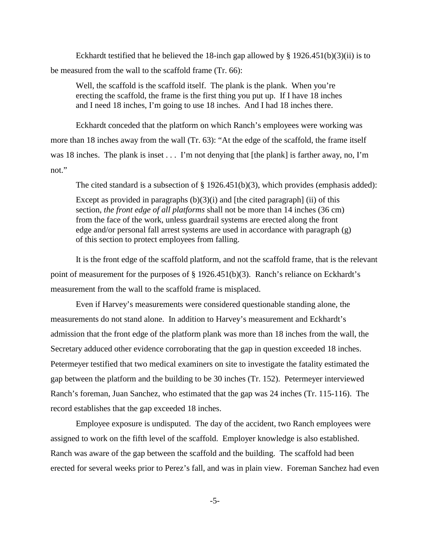Eckhardt testified that he believed the 18-inch gap allowed by §  $1926.451(b)(3)(ii)$  is to be measured from the wall to the scaffold frame (Tr. 66):

Well, the scaffold is the scaffold itself. The plank is the plank. When you're erecting the scaffold, the frame is the first thing you put up. If I have 18 inches and I need 18 inches, I'm going to use 18 inches. And I had 18 inches there.

Eckhardt conceded that the platform on which Ranch's employees were working was more than 18 inches away from the wall (Tr. 63): "At the edge of the scaffold, the frame itself was 18 inches. The plank is inset  $\dots$  I'm not denying that [the plank] is farther away, no, I'm not."

The cited standard is a subsection of § 1926.451(b)(3), which provides (emphasis added):

Except as provided in paragraphs  $(b)(3)(i)$  and [the cited paragraph] (ii) of this section, *the front edge of all platforms* shall not be more than 14 inches (36 cm) from the face of the work, unless guardrail systems are erected along the front edge and/or personal fall arrest systems are used in accordance with paragraph (g) of this section to protect employees from falling.

It is the front edge of the scaffold platform, and not the scaffold frame, that is the relevant point of measurement for the purposes of § 1926.451(b)(3). Ranch's reliance on Eckhardt's measurement from the wall to the scaffold frame is misplaced.

Even if Harvey's measurements were considered questionable standing alone, the measurements do not stand alone. In addition to Harvey's measurement and Eckhardt's admission that the front edge of the platform plank was more than 18 inches from the wall, the Secretary adduced other evidence corroborating that the gap in question exceeded 18 inches. Petermeyer testified that two medical examiners on site to investigate the fatality estimated the gap between the platform and the building to be 30 inches (Tr. 152). Petermeyer interviewed Ranch's foreman, Juan Sanchez, who estimated that the gap was 24 inches (Tr. 115-116). The record establishes that the gap exceeded 18 inches.

Employee exposure is undisputed. The day of the accident, two Ranch employees were assigned to work on the fifth level of the scaffold. Employer knowledge is also established. Ranch was aware of the gap between the scaffold and the building. The scaffold had been erected for several weeks prior to Perez's fall, and was in plain view. Foreman Sanchez had even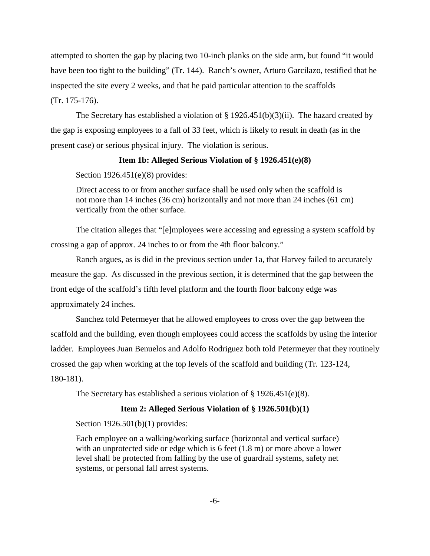attempted to shorten the gap by placing two 10-inch planks on the side arm, but found "it would have been too tight to the building" (Tr. 144). Ranch's owner, Arturo Garcilazo, testified that he inspected the site every 2 weeks, and that he paid particular attention to the scaffolds (Tr. 175-176).

The Secretary has established a violation of  $\S$  1926.451(b)(3)(ii). The hazard created by the gap is exposing employees to a fall of 33 feet, which is likely to result in death (as in the present case) or serious physical injury. The violation is serious.

## **Item 1b: Alleged Serious Violation of § 1926.451(e)(8)**

Section 1926.451(e)(8) provides:

Direct access to or from another surface shall be used only when the scaffold is not more than 14 inches (36 cm) horizontally and not more than 24 inches (61 cm) vertically from the other surface.

The citation alleges that "[e]mployees were accessing and egressing a system scaffold by crossing a gap of approx. 24 inches to or from the 4th floor balcony."

Ranch argues, as is did in the previous section under 1a, that Harvey failed to accurately measure the gap. As discussed in the previous section, it is determined that the gap between the front edge of the scaffold's fifth level platform and the fourth floor balcony edge was approximately 24 inches.

Sanchez told Petermeyer that he allowed employees to cross over the gap between the scaffold and the building, even though employees could access the scaffolds by using the interior ladder. Employees Juan Benuelos and Adolfo Rodriguez both told Petermeyer that they routinely crossed the gap when working at the top levels of the scaffold and building (Tr. 123-124, 180-181).

The Secretary has established a serious violation of § 1926.451(e)(8).

# **Item 2: Alleged Serious Violation of § 1926.501(b)(1)**

Section 1926.501(b)(1) provides:

Each employee on a walking/working surface (horizontal and vertical surface) with an unprotected side or edge which is 6 feet  $(1.8 \text{ m})$  or more above a lower level shall be protected from falling by the use of guardrail systems, safety net systems, or personal fall arrest systems.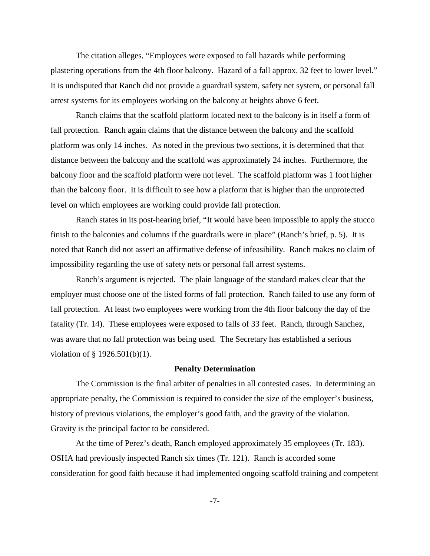The citation alleges, "Employees were exposed to fall hazards while performing plastering operations from the 4th floor balcony. Hazard of a fall approx. 32 feet to lower level." It is undisputed that Ranch did not provide a guardrail system, safety net system, or personal fall arrest systems for its employees working on the balcony at heights above 6 feet.

Ranch claims that the scaffold platform located next to the balcony is in itself a form of fall protection. Ranch again claims that the distance between the balcony and the scaffold platform was only 14 inches. As noted in the previous two sections, it is determined that that distance between the balcony and the scaffold was approximately 24 inches. Furthermore, the balcony floor and the scaffold platform were not level. The scaffold platform was 1 foot higher than the balcony floor. It is difficult to see how a platform that is higher than the unprotected level on which employees are working could provide fall protection.

Ranch states in its post-hearing brief, "It would have been impossible to apply the stucco finish to the balconies and columns if the guardrails were in place" (Ranch's brief, p. 5). It is noted that Ranch did not assert an affirmative defense of infeasibility. Ranch makes no claim of impossibility regarding the use of safety nets or personal fall arrest systems.

Ranch's argument is rejected. The plain language of the standard makes clear that the employer must choose one of the listed forms of fall protection. Ranch failed to use any form of fall protection. At least two employees were working from the 4th floor balcony the day of the fatality (Tr. 14). These employees were exposed to falls of 33 feet. Ranch, through Sanchez, was aware that no fall protection was being used. The Secretary has established a serious violation of § 1926.501(b)(1).

#### **Penalty Determination**

The Commission is the final arbiter of penalties in all contested cases. In determining an appropriate penalty, the Commission is required to consider the size of the employer's business, history of previous violations, the employer's good faith, and the gravity of the violation. Gravity is the principal factor to be considered.

At the time of Perez's death, Ranch employed approximately 35 employees (Tr. 183). OSHA had previously inspected Ranch six times (Tr. 121). Ranch is accorded some consideration for good faith because it had implemented ongoing scaffold training and competent